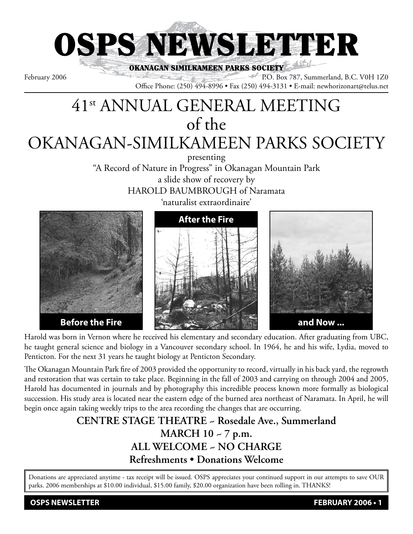

OKANAGAN SIMILKAMEEN PARKS SOCIETY February 2006 P.O. Box 787, Summerland, B.C. V0H 1Z0

Office Phone: (250) 494-8996 • Fax (250) 494-3131 • E-mail: newhorizonart@telus.net

# 41st ANNUAL GENERAL MEETING of the OKANAGAN-SIMILKAMEEN PARKS SOCIETY

presenting

"A Record of Nature in Progress" in Okanagan Mountain Park a slide show of recovery by HAROLD BAUMBROUGH of Naramata





Harold was born in Vernon where he received his elementary and secondary education. After graduating from UBC, he taught general science and biology in a Vancouver secondary school. In 1964, he and his wife, Lydia, moved to Penticton. For the next 31 years he taught biology at Penticton Secondary.

The Okanagan Mountain Park fire of 2003 provided the opportunity to record, virtually in his back yard, the regrowth and restoration that was certain to take place. Beginning in the fall of 2003 and carrying on through 2004 and 2005, Harold has documented in journals and by photography this incredible process known more formally as biological succession. His study area is located near the eastern edge of the burned area northeast of Naramata. In April, he will begin once again taking weekly trips to the area recording the changes that are occurring.

# **CENTRE STAGE THEATRE ~ Rosedale Ave., Summerland MARCH 10 ~ 7 p.m. ALL WELCOME ~ NO CHARGE Refreshments • Donations Welcome**

Donations are appreciated anytime - tax receipt will be issued. OSPS appreciates your continued support in our attempts to save OUR parks. 2006 memberships at \$10.00 individual, \$15.00 family, \$20.00 organization have been rolling in. THANKS!

**OSPS NEWSLETTER FEBRUARY 2006 • 1**

**Before the Fire**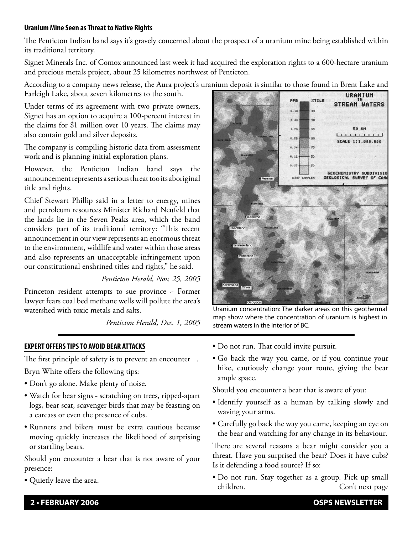## **Uranium Mine Seen as Threat to Native Rights**

The Penticton Indian band says it's gravely concerned about the prospect of a uranium mine being established within its traditional territory.

Signet Minerals Inc. of Comox announced last week it had acquired the exploration rights to a 600-hectare uranium and precious metals project, about 25 kilometres northwest of Penticton.

According to a company news release, the Aura project's uranium deposit is similar to those found in Brent Lake and

Farleigh Lake, about seven kilometres to the south.

Under terms of its agreement with two private owners, Signet has an option to acquire a 100-percent interest in the claims for \$1 million over 10 years. The claims may also contain gold and silver deposits.

The company is compiling historic data from assessment work and is planning initial exploration plans.

However, the Penticton Indian band says the announcement represents a serious threat too its aboriginal title and rights.

Chief Stewart Phillip said in a letter to energy, mines and petroleum resources Minister Richard Neufeld that the lands lie in the Seven Peaks area, which the band considers part of its traditional territory: "This recent announcement in our view represents an enormous threat to the environment, wildlife and water within those areas and also represents an unacceptable infringement upon our constitutional enshrined titles and rights," he said.

## *Penticton Herald, Nov. 25, 2005*

Princeton resident attempts to sue province - Former lawyer fears coal bed methane wells will pollute the area's watershed with toxic metals and salts.

*Penticton Herald, Dec. 1, 2005*

#### **EXPERT OFFERS TIPS TO AVOID BEAR ATTACKS**

The first principle of safety is to prevent an encounter .

Bryn White offers the following tips:

- Don't go alone. Make plenty of noise.
- Watch for bear signs scratching on trees, ripped-apart logs, bear scat, scavenger birds that may be feasting on a carcass or even the presence of cubs.
- Runners and bikers must be extra cautious because moving quickly increases the likelihood of surprising or startling bears.

Should you encounter a bear that is not aware of your presence:

• Quietly leave the area.



Uranium concentration: The darker areas on this geothermal map show where the concentration of uranium is highest in stream waters in the Interior of BC.

- Do not run. That could invite pursuit.
- Go back the way you came, or if you continue your hike, cautiously change your route, giving the bear ample space.

Should you encounter a bear that is aware of you:

- Identify yourself as a human by talking slowly and waving your arms.
- Carefully go back the way you came, keeping an eye on the bear and watching for any change in its behaviour.

There are several reasons a bear might consider you a threat. Have you surprised the bear? Does it have cubs? Is it defending a food source? If so:

• Do not run. Stay together as a group. Pick up small children. Con't next page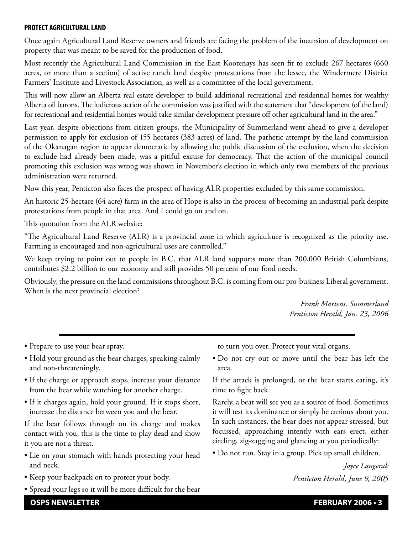#### **PROTECT AGRICULTURAL LAND**

Once again Agricultural Land Reserve owners and friends are facing the problem of the incursion of development on property that was meant to be saved for the production of food.

Most recently the Agricultural Land Commission in the East Kootenays has seen fit to exclude 267 hectares (660 acres, or more than a section) of active ranch land despite protestations from the lessee, the Windermere District Farmers' Institute and Livestock Association, as well as a committee of the local government.

This will now allow an Alberta real estate developer to build additional recreational and residential homes for wealthy Alberta oil barons. The ludicrous action of the commission was justified with the statement that "development (of the land) for recreational and residential homes would take similar development pressure off other agricultural land in the area."

Last year, despite objections from citizen groups, the Municipality of Summerland went ahead to give a developer permission to apply for exclusion of 155 hectares (383 acres) of land. The pathetic attempt by the land commission of the Okanagan region to appear democratic by allowing the public discussion of the exclusion, when the decision to exclude had already been made, was a pitiful excuse for democracy. That the action of the municipal council promoting this exclusion was wrong was shown in November's election in which only two members of the previous administration were returned.

Now this year, Penticton also faces the prospect of having ALR properties excluded by this same commission.

An historic 25-hectare (64 acre) farm in the area of Hope is also in the process of becoming an industrial park despite protestations from people in that area. And I could go on and on.

This quotation from the ALR website:

"The Agricultural Land Reserve (ALR) is a provincial zone in which agriculture is recognized as the priority use. Farming is encouraged and non-agricultural uses are controlled."

We keep trying to point out to people in B.C. that ALR land supports more than 200,000 British Columbians, contributes \$2.2 billion to our economy and still provides 50 percent of our food needs.

Obviously, the pressure on the land commissions throughout B.C. is coming from our pro-business Liberal government. When is the next provincial election?

> *Frank Martens, Summerland Penticton Herald, Jan. 23, 2006*

• Prepare to use your bear spray.

- Hold your ground as the bear charges, speaking calmly and non-threateningly.
- If the charge or approach stops, increase your distance from the bear while watching for another charge.
- If it charges again, hold your ground. If it stops short, increase the distance between you and the bear.

If the bear follows through on its charge and makes contact with you, this is the time to play dead and show it you are not a threat.

- Lie on your stomach with hands protecting your head and neck.
- Keep your backpack on to protect your body.
- Spread your legs so it will be more difficult for the bear

to turn you over. Protect your vital organs.

• Do not cry out or move until the bear has left the area.

If the attack is prolonged, or the bear starts eating, it's time to fight back.

Rarely, a bear will see you as a source of food. Sometimes it will test its dominance or simply be curious about you. In such instances, the bear does not appear stressed, but focussed, approaching intently with ears erect, either circling, zig-zagging and glancing at you periodically:

• Do not run. Stay in a group. Pick up small children.

*Joyce Langerak Penticton Herald, June 9, 2005*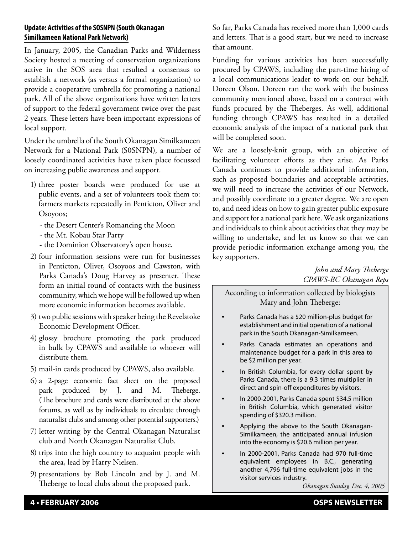# **Update: Activities of the SOSNPN (South Okanagan Similkameen National Park Network)**

In January, 2005, the Canadian Parks and Wilderness Society hosted a meeting of conservation organizations active in the SOS area that resulted a consensus to establish a network (as versus a formal organization) to provide a cooperative umbrella for promoting a national park. All of the above organizations have written letters of support to the federal government twice over the past 2 years. These letters have been important expressions of local support.

Under the umbrella of the South Okanagan Similkameen Network for a National Park (S0SNPN), a number of loosely coordinated activities have taken place focussed on increasing public awareness and support.

- 1) three poster boards were produced for use at public events, and a set of volunteers took them to: farmers markets repeatedly in Penticton, Oliver and Osoyoos;
	- the Desert Center's Romancing the Moon
	- the Mt. Kobau Star Party
	- the Dominion Observatory's open house.
- 2) four information sessions were run for businesses in Penticton, Oliver, Osoyoos and Cawston, with Parks Canada's Doug Harvey as presenter. These form an initial round of contacts with the business community, which we hope will be followed up when more economic information becomes available.
- 3) two public sessions with speaker being the Revelstoke Economic Development Officer.
- 4) glossy brochure promoting the park produced in bulk by CPAWS and available to whoever will distribute them.
- 5) mail-in cards produced by CPAWS, also available.
- 6) a 2-page economic fact sheet on the proposed park produced by J. and M. Theberge. (The brochure and cards were distributed at the above forums, as well as by individuals to circulate through naturalist clubs and among other potential supporters.)
- 7) letter writing by the Central Okanagan Naturalist club and North Okanagan Naturalist Club.
- 8) trips into the high country to acquaint people with the area, lead by Harry Nielsen.
- 9) presentations by Bob Lincoln and by J. and M. Theberge to local clubs about the proposed park.

So far, Parks Canada has received more than 1,000 cards and letters. That is a good start, but we need to increase that amount.

Funding for various activities has been successfully procured by CPAWS, including the part-time hiring of a local communications leader to work on our behalf, Doreen Olson. Doreen ran the work with the business community mentioned above, based on a contract with funds procured by the Theberges. As well, additional funding through CPAWS has resulted in a detailed economic analysis of the impact of a national park that will be completed soon.

We are a loosely-knit group, with an objective of facilitating volunteer efforts as they arise. As Parks Canada continues to provide additional information, such as proposed boundaries and acceptable activities, we will need to increase the activities of our Network, and possibly coordinate to a greater degree. We are open to, and need ideas on how to gain greater public exposure and support for a national park here. We ask organizations and individuals to think about activities that they may be willing to undertake, and let us know so that we can provide periodic information exchange among you, the key supporters.

# *John and Mary Theberge CPAWS-BC Okanagan Reps*

According to information collected by biologists Mary and John Theberge:

- Parks Canada has a \$20 million-plus budget for establishment and initial operation of a national park in the South Okanagan-Similkameen.
- Parks Canada estimates an operations and maintenance budget for a park in this area to be \$2 million per year.
- In British Columbia, for every dollar spent by Parks Canada, there is a 9.3 times multiplier in direct and spin-off expenditures by visitors.
- In 2000-2001, Parks Canada spent \$34.5 million in British Columbia, which generated visitor spending of \$320.3 million.
- Applying the above to the South Okanagan-Similkameen, the anticipated annual infusion into the economy is \$20.6 million per year.
- In 2000-2001, Parks Canada had 970 full-time equivalent employees in B.C., generating another 4,796 full-time equivalent jobs in the visitor services industry.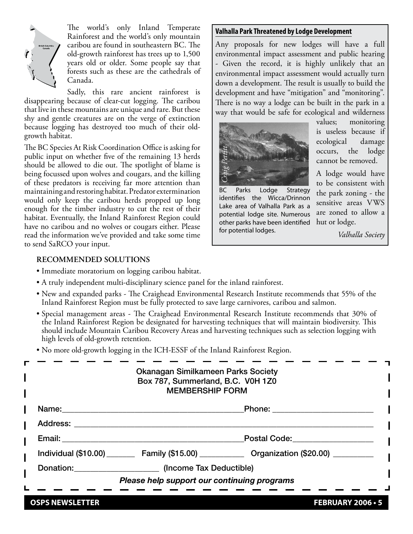

The world's only Inland Temperate Rainforest and the world's only mountain caribou are found in southeastern BC. The old-growth rainforest has trees up to 1,500 years old or older. Some people say that forests such as these are the cathedrals of Canada.

Sadly, this rare ancient rainforest is disappearing because of clear-cut logging. The caribou that live in these mountains are unique and rare. But these shy and gentle creatures are on the verge of extinction because logging has destroyed too much of their oldgrowth habitat.

The BC Species At Risk Coordination Office is asking for public input on whether five of the remaining 13 herds should be allowed to die out. The spotlight of blame is being focussed upon wolves and cougars, and the killing of these predators is receiving far more attention than maintaining and restoring habitat. Predator extermination would only keep the caribou herds propped up long enough for the timber industry to cut the rest of their habitat. Eventually, the Inland Rainforest Region could have no caribou and no wolves or cougars either. Please read the information we've provided and take some time to send SaRCO your input.

#### **Valhalla Park Threatened by Lodge Development**

Any proposals for new lodges will have a full environmental impact assessment and public hearing - Given the record, it is highly unlikely that an environmental impact assessment would actually turn down a development. The result is usually to build the development and have "mitigation" and "monitoring". There is no way a lodge can be built in the park in a way that would be safe for ecological and wilderness



BC Parks Lodge Strategy identifies the Wicca/Drinnon Lake area of Valhalla Park as a potential lodge site. Numerous other parks have been identified For potential lodge<br>*Reflection*<br>*Craig Parks* Lodge<br>identifies the Wilhal<br>potential lodge site<br>other parks have bee<br>for potential lodges.

values; monitoring is useless because if ecological damage occurs, the lodge cannot be removed.

A lodge would have to be consistent with the park zoning - the sensitive areas VWS are zoned to allow a hut or lodge.

*Valhalla Society*

## **RECOMMENDED SOLUTIONS**

- Immediate moratorium on logging caribou habitat.
- A truly independent multi-disciplinary science panel for the inland rainforest.
- New and expanded parks The Craighead Environmental Research Institute recommends that 55% of the Inland Rainforest Region must be fully protected to save large carnivores, caribou and salmon.
- Special management areas The Craighead Environmental Research Institute recommends that 30% of the Inland Rainforest Region be designated for harvesting techniques that will maintain biodiversity. This should include Mountain Caribou Recovery Areas and harvesting techniques such as selection logging with high levels of old-growth retention.
- No more old-growth logging in the ICH-ESSF of the Inland Rainforest Region.

|                                                                                                                 | <b>Okanagan Similkameen Parks Society</b><br>Box 787, Summerland, B.C. V0H 1Z0<br><b>MEMBERSHIP FORM</b>                                     |                                                                                                    |  |
|-----------------------------------------------------------------------------------------------------------------|----------------------------------------------------------------------------------------------------------------------------------------------|----------------------------------------------------------------------------------------------------|--|
| Name: __________                                                                                                |                                                                                                                                              | Phone: _____________________                                                                       |  |
| Address: Andreas Address and Address and American Article and Article and Article and Article and Article and A |                                                                                                                                              |                                                                                                    |  |
|                                                                                                                 | Email: 2008 2014 2022 2023 2024 2022 2022 2023 2024 2022 2023 2024 2022 2023 2024 2022 2023 2024 2022 2023 20<br>Postal Code: National Code: |                                                                                                    |  |
|                                                                                                                 |                                                                                                                                              | Individual (\$10.00) __________ Family (\$15.00) ______________ Organization (\$20.00) ___________ |  |
|                                                                                                                 | Donation: (Income Tax Deductible)                                                                                                            |                                                                                                    |  |
|                                                                                                                 | Please help support our continuing programs                                                                                                  |                                                                                                    |  |
|                                                                                                                 |                                                                                                                                              |                                                                                                    |  |

**OSPS NEWSLETTER FEBRUARY 2006 • 5**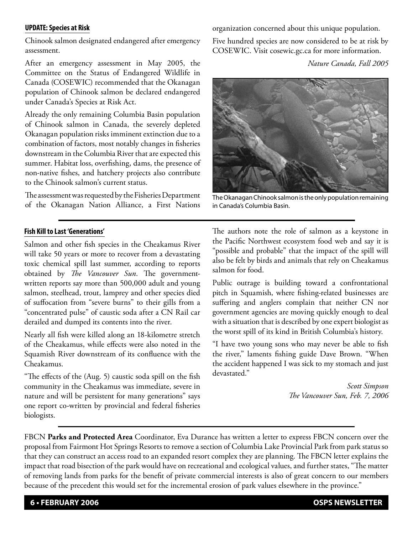#### **UPDATE: Species at Risk**

Chinook salmon designated endangered after emergency assessment.

After an emergency assessment in May 2005, the Committee on the Status of Endangered Wildlife in Canada (COSEWIC) recommended that the Okanagan population of Chinook salmon be declared endangered under Canada's Species at Risk Act.

Already the only remaining Columbia Basin population of Chinook salmon in Canada, the severely depleted Okanagan population risks imminent extinction due to a combination of factors, most notably changes in fisheries downstream in the Columbia River that are expected this summer. Habitat loss, overfishing, dams, the presence of non-native fishes, and hatchery projects also contribute to the Chinook salmon's current status.

The assessment was requested by the Fisheries Department of the Okanagan Nation Alliance, a First Nations

#### **Fish Kill to Last 'Generations'**

Salmon and other fish species in the Cheakamus River will take 50 years or more to recover from a devastating toxic chemical spill last summer, according to reports obtained by *The Vancouver Sun*. The governmentwritten reports say more than 500,000 adult and young salmon, steelhead, trout, lamprey and other species died of suffocation from "severe burns" to their gills from a "concentrated pulse" of caustic soda after a CN Rail car derailed and dumped its contents into the river.

Nearly all fish were killed along an 18-kilometre stretch of the Cheakamus, while effects were also noted in the Squamish River downstream of its confluence with the Cheakamus.

"The effects of the (Aug. 5) caustic soda spill on the fish community in the Cheakamus was immediate, severe in nature and will be persistent for many generations" says one report co-written by provincial and federal fisheries biologists.

organization concerned about this unique population.

Five hundred species are now considered to be at risk by COSEWIC. Visit cosewic.gc.ca for more information.

*Nature Canada, Fall 2005*



The Okanagan Chinook salmon is the only population remaining in Canada's Columbia Basin.

The authors note the role of salmon as a keystone in the Pacific Northwest ecosystem food web and say it is "possible and probable" that the impact of the spill will also be felt by birds and animals that rely on Cheakamus salmon for food.

Public outrage is building toward a confrontational pitch in Squamish, where fishing-related businesses are suffering and anglers complain that neither CN nor government agencies are moving quickly enough to deal with a situation that is described by one expert biologist as the worst spill of its kind in British Columbia's history.

"I have two young sons who may never be able to fish the river," laments fishing guide Dave Brown. "When the accident happened I was sick to my stomach and just devastated."

> *Scott Simpson The Vancouver Sun, Feb. 7, 2006*

FBCN **Parks and Protected Area** Coordinator, Eva Durance has written a letter to express FBCN concern over the proposal from Fairmont Hot Springs Resorts to remove a section of Columbia Lake Provincial Park from park status so that they can construct an access road to an expanded resort complex they are planning. The FBCN letter explains the impact that road bisection of the park would have on recreational and ecological values, and further states, "The matter of removing lands from parks for the benefit of private commercial interests is also of great concern to our members because of the precedent this would set for the incremental erosion of park values elsewhere in the province."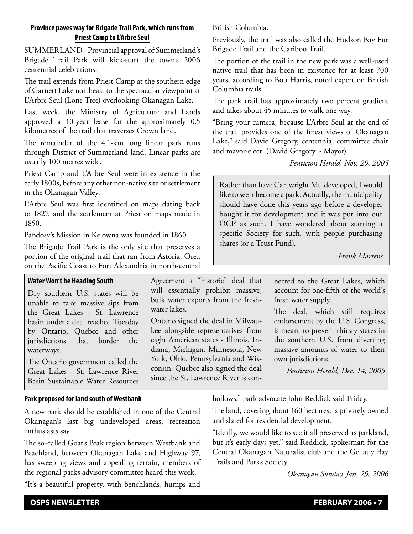# **Province paves way for Brigade Trail Park, which runs from Priest Camp to L'Arbre Seul**

SUMMERLAND - Provincial approval of Summerland's Brigade Trail Park will kick-start the town's 2006 centennial celebrations.

The trail extends from Priest Camp at the southern edge of Garnett Lake northeast to the spectacular viewpoint at L'Arbre Seul (Lone Tree) overlooking Okanagan Lake.

Last week, the Ministry of Agriculture and Lands approved a 10-year lease for the approximately 0.5 kilometres of the trail that traverses Crown land.

The remainder of the 4.1-km long linear park runs through District of Summerland land. Linear parks are usually 100 metres wide.

Priest Camp and L'Arbre Seul were in existence in the early 1800s, before any other non-native site or settlement in the Okanagan Valley.

L'Arbre Seul was first identified on maps dating back to 1827, and the settlement at Priest on maps made in 1850.

Pandosy's Mission in Kelowna was founded in 1860.

The Brigade Trail Park is the only site that preserves a portion of the original trail that ran from Astoria, Ore., on the Pacific Coast to Fort Alexandria in north-central

# **Water Won't be Heading South**

Dry southern U.S. states will be unable to take massive sips from the Great Lakes - St. Lawrence basin under a deal reached Tuesday by Ontario, Quebec and other jurisdictions that border the waterways.

The Ontario government called the Great Lakes - St. Lawrence River Basin Sustainable Water Resources

# **Park proposed for land south of Westbank**

A new park should be established in one of the Central Okanagan's last big undeveloped areas, recreation enthusiasts say.

The so-called Goat's Peak region between Westbank and Peachland, between Okanagan Lake and Highway 97, has sweeping views and appealing terrain, members of the regional parks advisory committee heard this week.

"It's a beautiful property, with benchlands, humps and

British Columbia.

Previously, the trail was also called the Hudson Bay Fur Brigade Trail and the Cariboo Trail.

The portion of the trail in the new park was a well-used native trail that has been in existence for at least 700 years, according to Bob Harris, noted expert on British Columbia trails.

The park trail has approximately two percent gradient and takes about 45 minutes to walk one way.

"Bring your camera, because L'Arbre Seul at the end of the trail provides one of the finest views of Okanagan Lake," said David Gregory, centennial committee chair and mayor-elect. (David Gregory ~ Mayor)

*Penticton Herald, Nov. 29, 2005*

Rather than have Cartwright Mt. developed, I would like to see it become a park. Actually, the municipality should have done this years ago before a developer bought it for development and it was put into our OCP as such. I have wondered about starting a specific Society for such, with people purchasing shares (or a Trust Fund).

*Frank Martens*

Agreement a "historic" deal that will essentially prohibit massive, bulk water exports from the freshwater lakes.

Ontario signed the deal in Milwaukee alongside representatives from eight American states - Illinois, Indiana, Michigan, Minnesota, New York, Ohio, Pennsylvania and Wisconsin. Quebec also signed the deal since the St. Lawrence River is connected to the Great Lakes, which account for one-fifth of the world's fresh water supply.

The deal, which still requires endorsement by the U.S. Congress, is meant to prevent thirsty states in the southern U.S. from diverting massive amounts of water to their own jurisdictions.

*Penticton Herald, Dec. 14, 2005*

hollows," park advocate John Reddick said Friday.

The land, covering about 160 hectares, is privately owned and slated for residential development.

"Ideally, we would like to see it all preserved as parkland, but it's early days yet," said Reddick, spokesman for the Central Okanagan Naturalist club and the Gellatly Bay Trails and Parks Society.

*Okanagan Sunday, Jan. 29, 2006*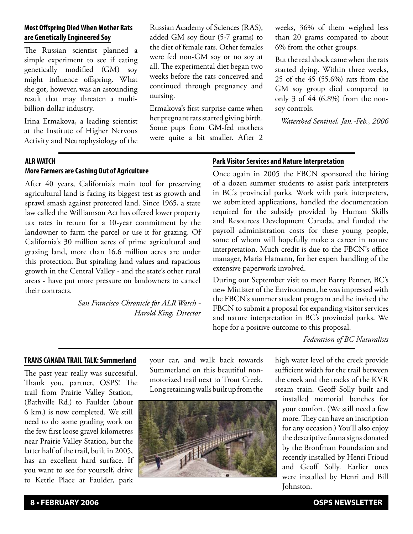# **Most Offspring Died When Mother Rats are Genetically Engineered Soy**

The Russian scientist planned a simple experiment to see if eating genetically modified (GM) soy might influence offspring. What she got, however, was an astounding result that may threaten a multibillion dollar industry.

Irina Ermakova, a leading scientist at the Institute of Higher Nervous Activity and Neurophysiology of the Russian Academy of Sciences (RAS), added GM soy flour (5-7 grams) to the diet of female rats. Other females were fed non-GM soy or no soy at all. The experimental diet began two weeks before the rats conceived and continued through pregnancy and nursing.

Ermakova's first surprise came when her pregnant rats started giving birth. Some pups from GM-fed mothers were quite a bit smaller. After 2

weeks, 36% of them weighed less than 20 grams compared to about 6% from the other groups.

But the real shock came when the rats started dying. Within three weeks, 25 of the 45 (55.6%) rats from the GM soy group died compared to only 3 of 44 (6.8%) from the nonsoy controls.

*Watershed Sentinel, Jan.-Feb., 2006*

# **ALR WATCH More Farmers are Cashing Out of Agriculture**

After 40 years, California's main tool for preserving agricultural land is facing its biggest test as growth and sprawl smash against protected land. Since 1965, a state law called the Williamson Act has offered lower property tax rates in return for a 10-year commitment by the landowner to farm the parcel or use it for grazing. Of California's 30 million acres of prime agricultural and grazing land, more than 16.6 million acres are under this protection. But spiraling land values and rapacious growth in the Central Valley - and the state's other rural areas - have put more pressure on landowners to cancel their contracts.

> *San Francisco Chronicle for ALR Watch - Harold King, Director*

# **Park Visitor Services and Nature Interpretation**

Once again in 2005 the FBCN sponsored the hiring of a dozen summer students to assist park interpreters in BC's provincial parks. Work with park interpreters, we submitted applications, handled the documentation required for the subsidy provided by Human Skills and Resources Development Canada, and funded the payroll administration costs for these young people, some of whom will hopefully make a career in nature interpretation. Much credit is due to the FBCN's office manager, Maria Hamann, for her expert handling of the extensive paperwork involved.

During our September visit to meet Barry Penner, BC's new Minister of the Environment, he was impressed with the FBCN's summer student program and he invited the FBCN to submit a proposal for expanding visitor services and nature interpretation in BC's provincial parks. We hope for a positive outcome to this proposal.

*Federation of BC Naturalists*

## **TRANS CANADA TRAIL TALK: Summerland**

The past year really was successful. Thank you, partner, OSPS! The trail from Prairie Valley Station, (Bathville Rd.) to Faulder (about 6 km.) is now completed. We still need to do some grading work on the few first loose gravel kilometres near Prairie Valley Station, but the latter half of the trail, built in 2005, has an excellent hard surface. If you want to see for yourself, drive to Kettle Place at Faulder, park

your car, and walk back towards Summerland on this beautiful nonmotorized trail next to Trout Creek. Long retaining walls built up from the



high water level of the creek provide sufficient width for the trail between the creek and the tracks of the KVR steam train. Geoff Solly built and

installed memorial benches for your comfort. (We still need a few more. They can have an inscription for any occasion.) You'll also enjoy the descriptive fauna signs donated by the Bronfman Foundation and recently installed by Henri Frioud and Geoff Solly. Earlier ones were installed by Henri and Bill Johnston.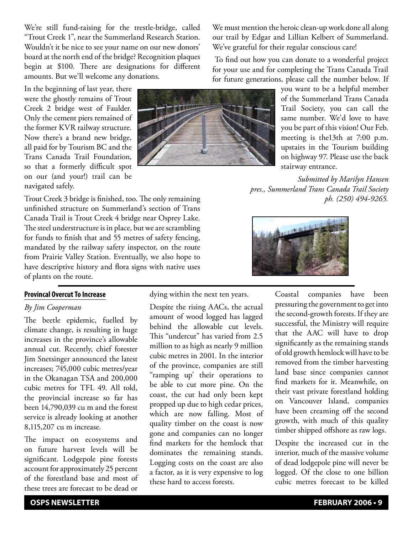We're still fund-raising for the trestle-bridge, called "Trout Creek 1", near the Summerland Research Station. Wouldn't it be nice to see your name on our new donors' board at the north end of the bridge? Recognition plaques begin at \$100. There are designations for different amounts. But we'll welcome any donations.

In the beginning of last year, there were the ghostly remains of Trout Creek 2 bridge west of Faulder. Only the cement piers remained of the former KVR railway structure. Now there's a brand new bridge, all paid for by Tourism BC and the Trans Canada Trail Foundation, so that a formerly difficult spot on our (and your!) trail can be navigated safely.

Trout Creek 3 bridge is finished, too. The only remaining unfinished structure on Summerland's section of Trans Canada Trail is Trout Creek 4 bridge near Osprey Lake. The steel understructure is in place, but we are scrambling for funds to finish that and 55 metres of safety fencing, mandated by the railway safety inspector, on the route from Prairie Valley Station. Eventually, we also hope to have descriptive history and flora signs with native uses of plants on the route.

#### **Provincal Overcut To Increase**

#### *By Jim Cooperman*

The beetle epidemic, fuelled by climate change, is resulting in huge increases in the province's allowable annual cut. Recently, chief forester Jim Snetsinger announced the latest increases; 745,000 cubic metres/year in the Okanagan TSA and 200,000 cubic metres for TFL 49. All told, the provincial increase so far has been 14,790,039 cu m and the forest service is already looking at another 8,115,207 cu m increase.

The impact on ecosystems and on future harvest levels will be significant. Lodgepole pine forests account for approximately 25 percent of the forestland base and most of these trees are forecast to be dead or

dying within the next ten years.

Despite the rising AACs, the actual amount of wood logged has lagged behind the allowable cut levels. This "undercut" has varied from 2.5 million to as high as nearly 9 million cubic metres in 2001. In the interior of the province, companies are still "ramping up' their operations to be able to cut more pine. On the coast, the cut had only been kept propped up due to high cedar prices, which are now falling. Most of quality timber on the coast is now gone and companies can no longer find markets for the hemlock that dominates the remaining stands. Logging costs on the coast are also a factor, as it is very expensive to log these hard to access forests.

We must mention the heroic clean-up work done all along our trail by Edgar and Lillian Kelbert of Summerland. We've grateful for their regular conscious care!

 To find out how you can donate to a wonderful project for your use and for completing the Trans Canada Trail for future generations, please call the number below. If

> you want to be a helpful member of the Summerland Trans Canada Trail Society, you can call the same number. We'd love to have you be part of this vision! Our Feb. meeting is the13th at 7:00 p.m. upstairs in the Tourism building on highway 97. Please use the back stairway entrance.

*Submitted by Marilyn Hansen pres., Summerland Trans Canada Trail Society ph. (250) 494-9265.*



Coastal companies have been pressuring the government to get into the second-growth forests. If they are successful, the Ministry will require that the AAC will have to drop significantly as the remaining stands of old growth hemlock will have to be removed from the timber harvesting land base since companies cannot find markets for it. Meanwhile, on their vast private forestland holding on Vancouver Island, companies have been creaming off the second growth, with much of this quality timber shipped offshore as raw logs.

Despite the increased cut in the interior, much of the massive volume of dead lodgepole pine will never be logged. Of the close to one billion cubic metres forecast to be killed